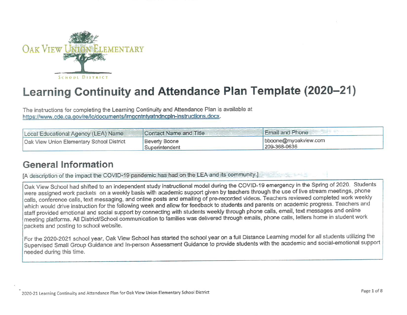

# Learning Continuity and Attendance Plan Template (2020-21)

The instructions for completing the Learning Continuity and Attendance Plan is available at https://www.cde.ca.gov/re/lc/documents/lrngcntntyatndncpln-instructions.docx.

| Local Educational Agency (LEA) Name       | Contact Name and Title                 | <b>Email and Phone</b>               |
|-------------------------------------------|----------------------------------------|--------------------------------------|
| Oak View Union Elementary School District | <b>Beverly Boone</b><br>Superintendent | bboone@myoakview.com<br>209-368-0636 |

### General Information

[A description of the impact the COVID-19 pandemic has had on the LEA and its community.]

Oak View Schooi had shified to an independent study instructional model during the COVID-19 emergency in the Spring of 2020. Students were assigned work packets on a weekly basis with academic support given by teachers through the use of live stream meetings, phone calls, conference calls, text messaging, and online posts and emailing of pre-recorded videos. Teachers reviewed completed work weekly which would drive instruction for the following week and allow for feedback to students and parents on academic progress. Teachers and staff provided emotional and social support by connecting with students weekly through phone calls, email, text messages and online meeting piatforms. All District/School communication to families was delivered through emails, phone calls, letters home in student work packets and posting to school website.

For the 2020-2021 school year, Oak View School has started the school year on a full Distance Learning model for all students utilizing the Supervised Small Group Guidance and In-person Assessment Guidance to provide students with the academic and social-emotional support needed during this time.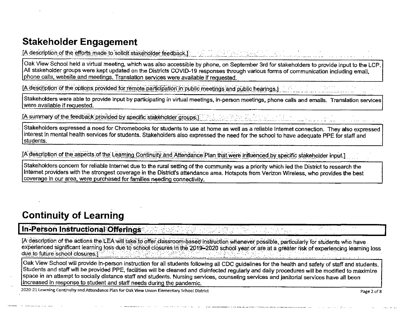# Stakeholder Engagement

[A description of the efforts made to solicit stakeholder feedback.]

Oak View School held a virtual meeting, which was also accessible by phone, on September 3rd for stakeholders to provide input to the LCP. All stakeholder groups were kept updated on the Districts COVID-19 responses through various forms or communication induding email, phone calls, website and meetings. Translation services were available if requested.

[A description of the options provided for remote participation in public meetings and public hearings.]

Stakeholders were able to provide input by participating in virtual meetings, in-person meetings, phone calls and emails. Translation services were available if requested.

[A summary of the feedback provided by specific stakeholder groups.]

Stakeholders expressed a need for Chromebooks for students to use at home as well as a reliable Intemet connection. They also expressed interest in mental health services for students. Stakeholders also expressed the need for the school to have adequate PPE for staff and students.

[A description of the aspects of the Learning Continuity and Attendance Plan that were influenced by specific stakeholder input.]

Stakeholders concern for reliable Internet due to the rural setting of the community was a priority which led the District to research the Intemet providers with the strongest coverage in the District's attendance area. Hotspots from Verizon Wireless, who provides the best coverage in our area, were purchased for families needing connectivity.

# Continuity of Learning

### In-Person Instructional Offerings

[A description of the actions the LEA will take to offer classroom-based instruction whenever possible, particularly for students who have experienced significant learning loss due to school closures in the 2019-2020 school year or are at a greater risk of experiencing learning loss<br>due to future school closures.

Oak View School will provide in-person instruction for all students following all CDC guidelines for the health and safety of staff and students. Students and staff will be provided PPE, facilities will be cleaned and disinfected regularly and daily procedures will be modified to maximize space in an attempt to socially distance staff and students. Nursing services, counseling setvices and janitorial services have all been increased in response to student and staff needs during the pandemic.

2020-21 Learning Continuity and Attendance Plan for Oak View Union Elementary School District Page 2 of 8 Page 2 of 8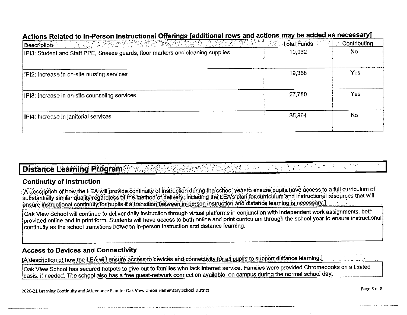| Description of the state of the second second second second second second second second second second second second second second second second second second second second second second second second second second second s | Total Funds | Contributing |
|--------------------------------------------------------------------------------------------------------------------------------------------------------------------------------------------------------------------------------|-------------|--------------|
| [IPI3: Student and Staff PPE, Sneeze guards, floor markers and cleaning supplies.                                                                                                                                              | 10,032      | No           |
| IPI2: Increase in on-site nursing services                                                                                                                                                                                     | 19,368      | Yes          |
| IPI3: Increase in on-site counseling services                                                                                                                                                                                  | 27,780      | <b>Yes</b>   |
| IPI4: Increase in janitorial services                                                                                                                                                                                          | 35,964      | No           |
|                                                                                                                                                                                                                                |             |              |

#### Actions Pelated to In-Person Instructional Offerings Iadditional rows and actions may be added as necessaryI

### **Distance Learning Program**

#### **Continuity of Instruction**

JA description of how the LEA will provide continuity of instruction during the school year to ensure pupils have access to a full curriculum of substantially similar quality regardless of the method of delivery, including the LEA's plan for curriculum and instructional resources that will ensure instructional continuity for pupils if a transition between in-person instruction and distance learning is necessary I

Oak View School will continue to deliver daily instruction through virtual platforms in conjunction with independent work assignments, both provided online and in print form. Students will have access to both online and print curriculum through the school year to ensure instructional continuity as the school transitions between in-person instruction and distance learning.

#### **Access to Devices and Connectivity**

[A description of how the LEA will ensure access to devices and connectivity for all pupils to support distance learning.]

Oak View School has secured hotpots to give out to families who lack Internet service. Families were provided Chromebooks on a limited basis, if needed. The school also has a free guest-network connection available on campus during the normal school day.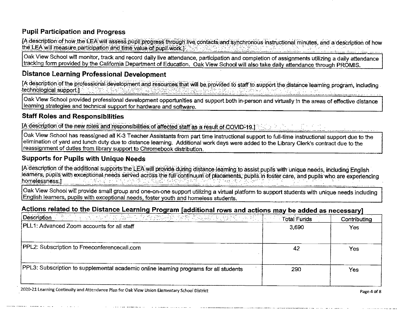#### Pupil Participation and Progress

[A description of how the LEA will assess pupil progress through live contacts and synchronous instructional minutes, and a description of how the LEA will measure participation and time value of pupil work.

Oak View School will monitor, track and record daily live attendance, participation and completion of assignments utilizing a daily attendance tracking form provided by the California Department of Education. Oak View School will also take daily attendance through PROMIS.

#### Distance Learning Professional Development

[A description of the professional development and resources that will be provided to staff to support the distance learning program, including technological support: finalista (Politika)<br>L

Oak View School provided professional development opportunities and support both in-person and virtually in the areas of effective distance learning strategies and technical support for hardware and software.

#### Staff Roles and Responsibilities

[A description of the new roles and responsibilities of affected staff as a result of COVID-19.]

Oak View School has reassigned all K-3 Teacher Assistants from part time instructional support to fulJ-time instructional support due to the elimination of yard and lunch duty due to distance learning. Additional work days were added to the Library Clerk's contract due to the reassignment of duties from library support to Chromebook distribution.

#### Supports for Pupils with Unique Needs

[A description of the additional supports the LEA will provide during distance-learning to assist pupils with unique needs, including English learners, pupils with exceptional needs served across the full continuum of placements, pupils in foster care, and pupils who are experiencing homelessness.] '

Oak View School will provide small group and one-on-one support utilizing a virtual platform to support students with unique needs including English learners, pupils with exceptional needs, foster youth and homeless students.

#### Actions related to the Distance Learning Program [additional rows and actions may be added as necessary]

| <b>Description</b> (1994) and the self-of the BuSe of <i>Public Property of the Land Description</i> | <b>Total Funds</b> | Contributing |
|------------------------------------------------------------------------------------------------------|--------------------|--------------|
| PLL1: Advanced Zoom accounts for all staff                                                           | 3,690              | Yes:         |
|                                                                                                      |                    |              |
| PPL2: Subscription to Freeconferencecall.com                                                         |                    | Yes          |
|                                                                                                      |                    |              |
| PPL3: Subscription to supplemental academic online learning programs for all students                | 290                | Yes          |
|                                                                                                      |                    |              |

2020-21 Learning Continuity and Attendance Plan for Oak View Union Elementary School District Page 4 of 8 Page 4 of 8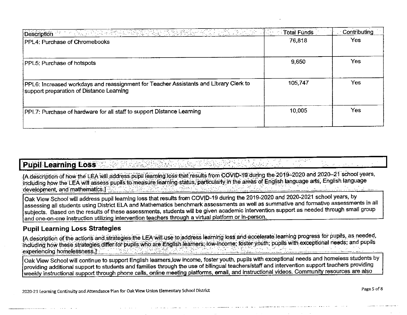| Total Funds<br><b>Contract</b> | Contributing |
|--------------------------------|--------------|
| 76,818                         | Yes          |
| 9,650                          | <b>Yes</b>   |
| 105,747                        | <b>Yes</b>   |
| 10,005                         | Yes          |
|                                |              |

### **Pupil Learning Loss**

[A description of how the LEA will address pupil learning loss that results from COVID-19 during the 2019–2020 and 2020–21 school years. including how the LEA will assess pupils to measure learning status, particularly in the areas of English language arts, English language development, and mathematics.1

Oak View School will address pupil learning loss that results from COVID-19 during the 2019-2020 and 2020-2021 school years, by assessing all students using District ELA and Mathematics benchmark assessments as well as summative and formative assessments in all subjects. Based on the results of these assessments, students will be given academic intervention support as needed through small group and one-on-one instruction utilizing intervention teachers through a virtual platform or in-person.

#### **Pupil Learning Loss Strategies**

[A description of the actions and strategies the LEA will use to address learning loss and accelerate learning progress for pupils, as needed, including how these strategies differ for pupils who are English learners. low-income, foster youth, pupils with exceptional needs, and pupils experiencing homelessness.]

Oak View School will continue to support English learners,low income, foster youth, pupils with exceptional needs and homeless students by providing additional support to students and families through the use of bilingual teachers/staff and intervention support teachers providing weekly instructional support through phone calls, online meeting platforms, email, and instructional videos. Community resources are also

**Contract**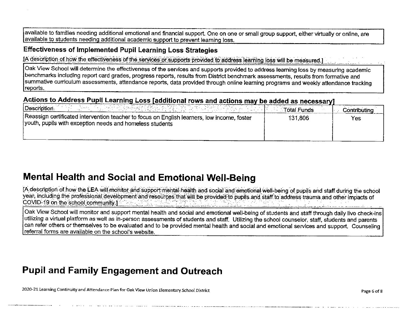available to families needing additional emotional and financial support. One on one or small group support, either virtually or online, are available to students needing additional academic support to prevent learning loss.

#### **Effectiveness of Implemented Pupil Learning Loss Strategies**

IA description of how the effectiveness of the services or supports provided to address learning loss will be measured.]

Oak View School will determine the effectiveness of the services and supports provided to address learning loss by measuring academic benchmarks including report card grades, progress reports, results from District benchmark assessments, results from formative and summative curriculum assessments, attendance reports, data provided through online learning programs and weekly attendance tracking reports.

### Actions to Address Pupil Learning Loss [additional rows and actions may be added as necessary]

| 아는 그는 전화로 싸서 사람들은 오래 사람한 거지 아름다운 하라<br>Description<br>$\sim 10^{11}$ and $\sim 10^{11}$                                                                 | <b>Example: Total Funds</b> | Contributing |
|---------------------------------------------------------------------------------------------------------------------------------------------------------|-----------------------------|--------------|
| Reassign certificated intervention teacher to focus on English learners, low income, foster<br>youth, pupils with exception needs and homeless students | 131.806                     | Yes          |

### **Mental Health and Social and Emotional Well-Being**

[A description of how the LEA-will monitor and support mental health and social and emotional well-being of pupils and staff during the school year, including the professional development and resources that will be provided to pupils and staff to address trauma and other impacts of COVID-19 on the school community 1 ال<br>الموارد الشيارية الموارد الموارد الموارد الموارد الموارد الموارد الموارد الموارد الموارد الموارد الموارد الموارد

Oak View School will monitor and support mental health and social and emotional well-being of students and staff through daily live check-ins utilizing a virtual platform as well as in-person assessments of students and staff. Utilizing the school counselor, staff, students and parents can refer others or themselves to be evaluated and to be provided mental health and social and emotional services and support. Counseling referral forms are available on the school's website.

### **Pupil and Family Engagement and Outreach**

2020-21 Learning Continuity and Attendance Plan for Oak View Union Elementary School District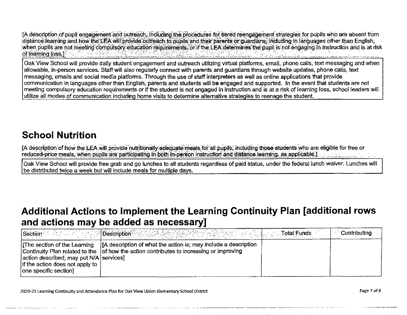TA description of pupil engagement and outreach, including the procedures for tiered reengagement strategies for pupils who are absent from distance learning and how the LEA will provide outreach to pupils and their parents or quardians. Including in languages other than English, when pupils are not meeting compulsory education requirements, or if the LEA determines the pupil is not engaging in instruction and is at risk of learning loss.]

Oak View School will provide daiiy student engagement and outreach utilizing virtual platforms, email, phone cails, text messaging and when allowable, in-person services. Staff will also regularly connect with parents and guardians through website updates, phone calls, text messaging, emails and social media platforms. Through the use of staff interpreters as well as online applications that provide communication in languages other than English, parents and students will be engaged and supported. In the event that students are not meeting compulsory education requirements or if the student is not engaged in instruction and is at a risk of learning loss, school leaders will utilize all modes of communication including home visits to determine alternative strategies to reenage the student.

# SchooJ Nutrition

[A description of how the LEA will provide nutritionally adequate meals for all pupils, including those students who are eligible for free or reduced-price meals, when pupils are participating in both in-person instruction and distance learning, as applicable.]

Oak View School will provide free grab and go lunches to all students regardless of paid status, under the federal lunch waiver- Lunches will be distributed twice a week but will include meals for multiple days.

### Additional Actions to Implement the Learning Continuity Plan [additional rows and actions may be added as necessary}

| Section <b>Section</b>                                                                             | <b><i>Properties of Description Property</i></b>                                                                                                                                            | <b>Total Funds</b> | Contributing |
|----------------------------------------------------------------------------------------------------|---------------------------------------------------------------------------------------------------------------------------------------------------------------------------------------------|--------------------|--------------|
| action described; may put N/A services]<br>if the action does not apply to<br>one specific section | The section of the Learning $ A $ description of what the action is; may include a description<br>Continuity Plan related to the   of how the action contributes to increasing or improving |                    |              |

2020-21 Learning Continuity and Attendance Plan for Oak View Union Elementary School District Page 7 of 8 and 7 of 8